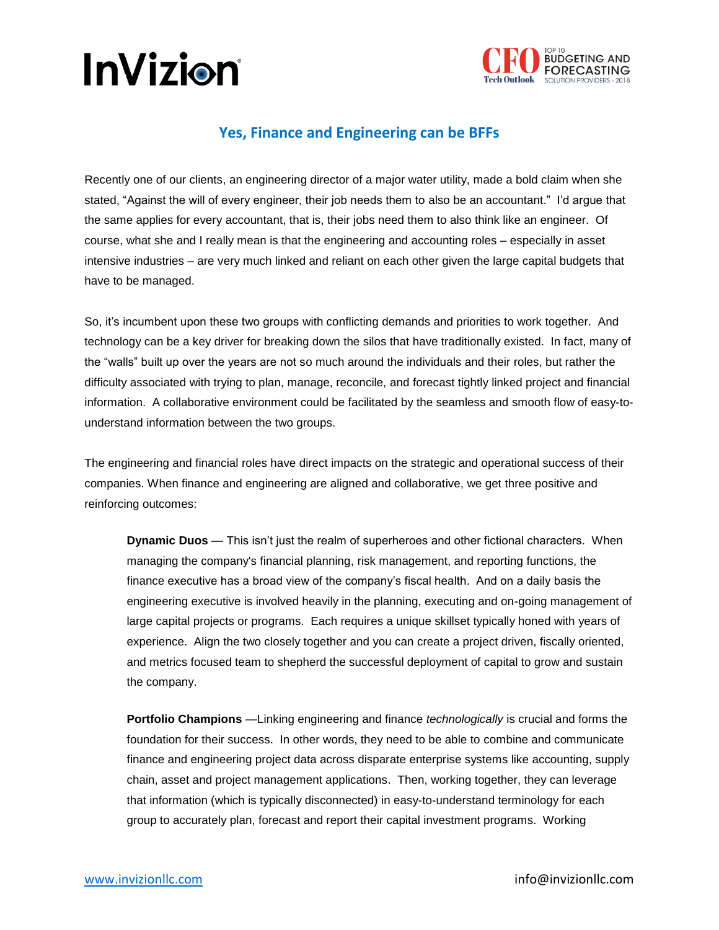



## **Yes, Finance and Engineering can be BFFs**

Recently one of our clients, an engineering director of a major water utility, made a bold claim when she stated, "Against the will of every engineer, their job needs them to also be an accountant." I'd argue that the same applies for every accountant, that is, their jobs need them to also think like an engineer. Of course, what she and I really mean is that the engineering and accounting roles – especially in asset intensive industries – are very much linked and reliant on each other given the large capital budgets that have to be managed.

So, it's incumbent upon these two groups with conflicting demands and priorities to work together. And technology can be a key driver for breaking down the silos that have traditionally existed. In fact, many of the "walls" built up over the years are not so much around the individuals and their roles, but rather the difficulty associated with trying to plan, manage, reconcile, and forecast tightly linked project and financial information. A collaborative environment could be facilitated by the seamless and smooth flow of easy-tounderstand information between the two groups.

The engineering and financial roles have direct impacts on the strategic and operational success of their companies. When finance and engineering are aligned and collaborative, we get three positive and reinforcing outcomes:

**Dynamic Duos** — This isn't just the realm of superheroes and other fictional characters. When managing the company's financial planning, risk management, and reporting functions, the finance executive has a broad view of the company's fiscal health. And on a daily basis the engineering executive is involved heavily in the planning, executing and on-going management of large capital projects or programs. Each requires a unique skillset typically honed with years of experience. Align the two closely together and you can create a project driven, fiscally oriented, and metrics focused team to shepherd the successful deployment of capital to grow and sustain the company.

**Portfolio Champions** —Linking engineering and finance *technologically* is crucial and forms the foundation for their success. In other words, they need to be able to combine and communicate finance and engineering project data across disparate enterprise systems like accounting, supply chain, asset and project management applications. Then, working together, they can leverage that information (which is typically disconnected) in easy-to-understand terminology for each group to accurately plan, forecast and report their capital investment programs. Working